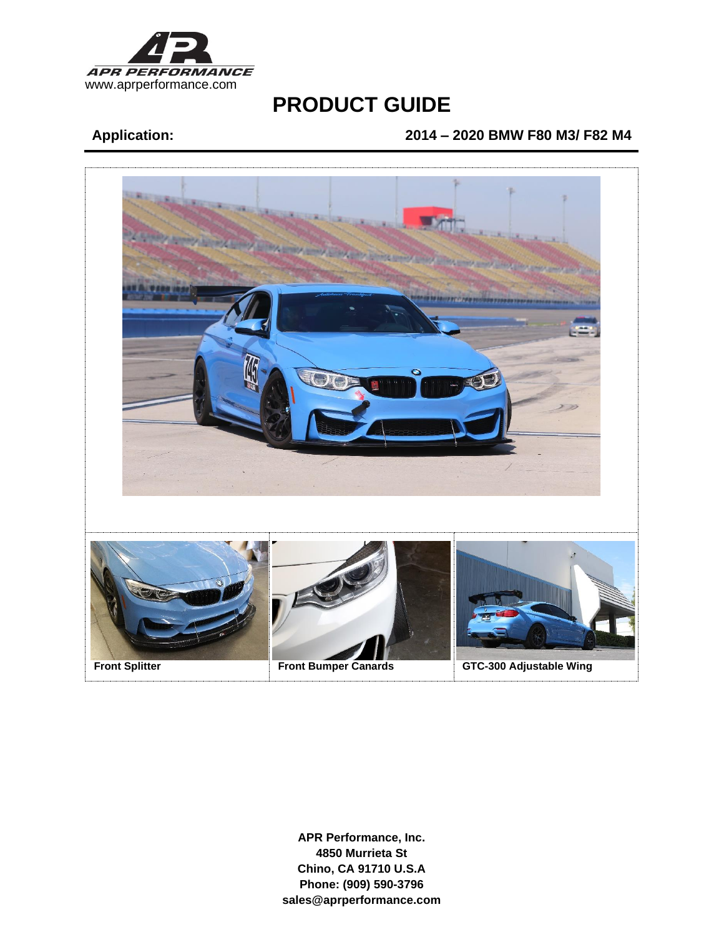

## **Application: 2014 – 2020 BMW F80 M3/ F82 M4**

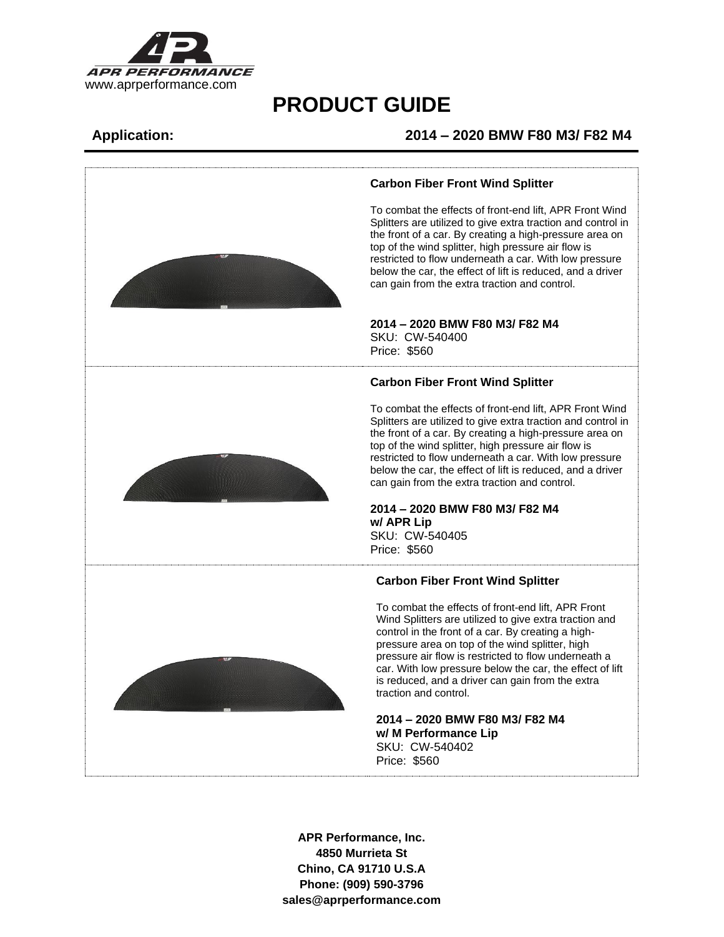

## **Application: 2014 – 2020 BMW F80 M3/ F82 M4**



### **Carbon Fiber Front Wind Splitter**

To combat the effects of front-end lift, APR Front Wind Splitters are utilized to give extra traction and control in the front of a car. By creating a high-pressure area on top of the wind splitter, high pressure air flow is restricted to flow underneath a car. With low pressure below the car, the effect of lift is reduced, and a driver can gain from the extra traction and control.

### **2014 – 2020 BMW F80 M3/ F82 M4**

SKU: CW-540400 Price: \$560

### **Carbon Fiber Front Wind Splitter**

To combat the effects of front-end lift, APR Front Wind Splitters are utilized to give extra traction and control in the front of a car. By creating a high-pressure area on top of the wind splitter, high pressure air flow is restricted to flow underneath a car. With low pressure below the car, the effect of lift is reduced, and a driver can gain from the extra traction and control.

### **2014 – 2020 BMW F80 M3/ F82 M4 w/ APR Lip** SKU: CW-540405 Price: \$560

### **Carbon Fiber Front Wind Splitter**

To combat the effects of front-end lift, APR Front Wind Splitters are utilized to give extra traction and control in the front of a car. By creating a highpressure area on top of the wind splitter, high pressure air flow is restricted to flow underneath a car. With low pressure below the car, the effect of lift is reduced, and a driver can gain from the extra traction and control.

**2014 – 2020 BMW F80 M3/ F82 M4 w/ M Performance Lip** SKU: CW-540402 Price: \$560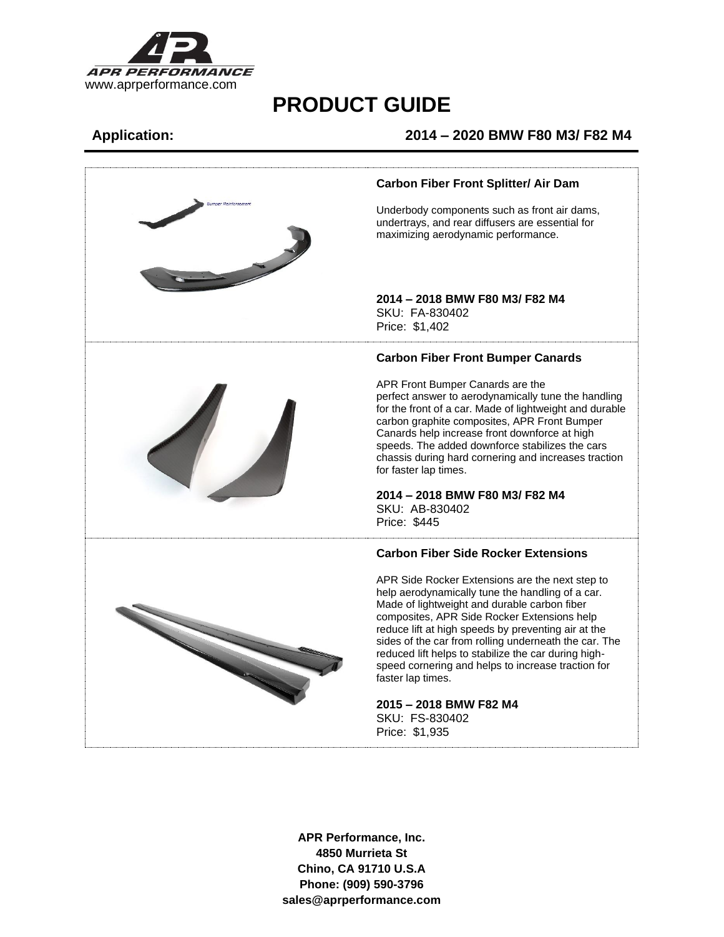

## **Application: 2014 – 2020 BMW F80 M3/ F82 M4**

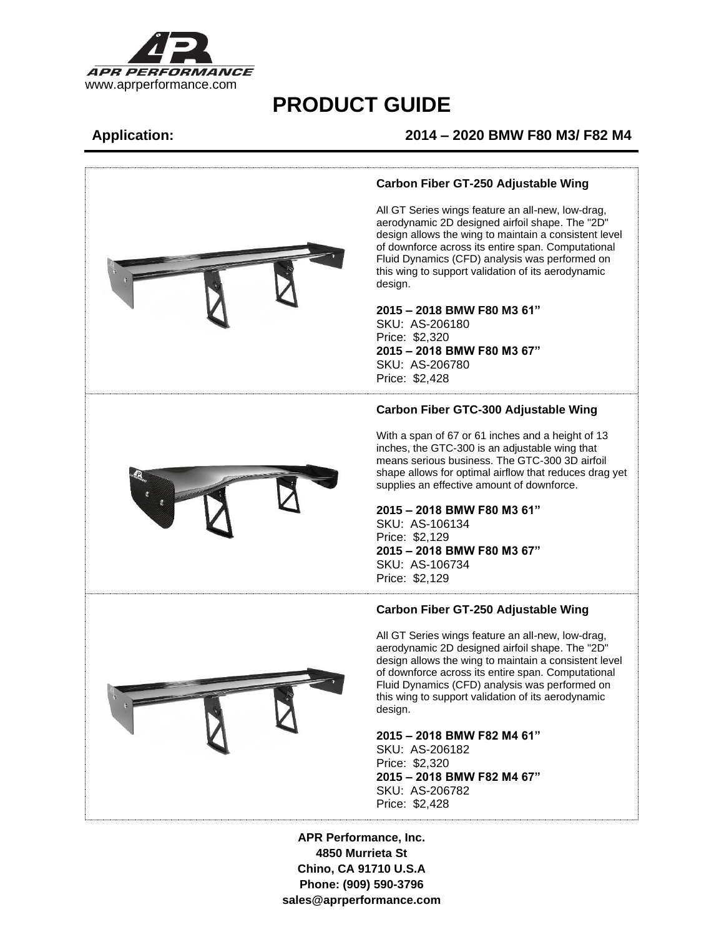

## **Application: 2014 – 2020 BMW F80 M3/ F82 M4**



### **Carbon Fiber GT-250 Adjustable Wing**

All GT Series wings feature an all-new, low-drag, aerodynamic 2D designed airfoil shape. The "2D" design allows the wing to maintain a consistent level of downforce across its entire span. Computational Fluid Dynamics (CFD) analysis was performed on this wing to support validation of its aerodynamic design.

### **2015 – 2018 BMW F80 M3 61"**

SKU: AS-206180 Price: \$2,320 **2015 – 2018 BMW F80 M3 67"** SKU: AS-206780 Price: \$2,428

### **Carbon Fiber GTC-300 Adjustable Wing**

With a span of 67 or 61 inches and a height of 13 inches, the GTC-300 is an adjustable wing that means serious business. The GTC-300 3D airfoil shape allows for optimal airflow that reduces drag yet supplies an effective amount of downforce.

### **2015 – 2018 BMW F80 M3 61"**

SKU: AS-106134 Price: \$2,129 **2015 – 2018 BMW F80 M3 67"** SKU: AS-106734 Price: \$2,129

### **Carbon Fiber GT-250 Adjustable Wing**

All GT Series wings feature an all-new, low-drag, aerodynamic 2D designed airfoil shape. The "2D" design allows the wing to maintain a consistent level of downforce across its entire span. Computational Fluid Dynamics (CFD) analysis was performed on this wing to support validation of its aerodynamic design.

### **2015 – 2018 BMW F82 M4 61"**

SKU: AS-206182 Price: \$2,320 **2015 – 2018 BMW F82 M4 67"** SKU: AS-206782 Price: \$2,428